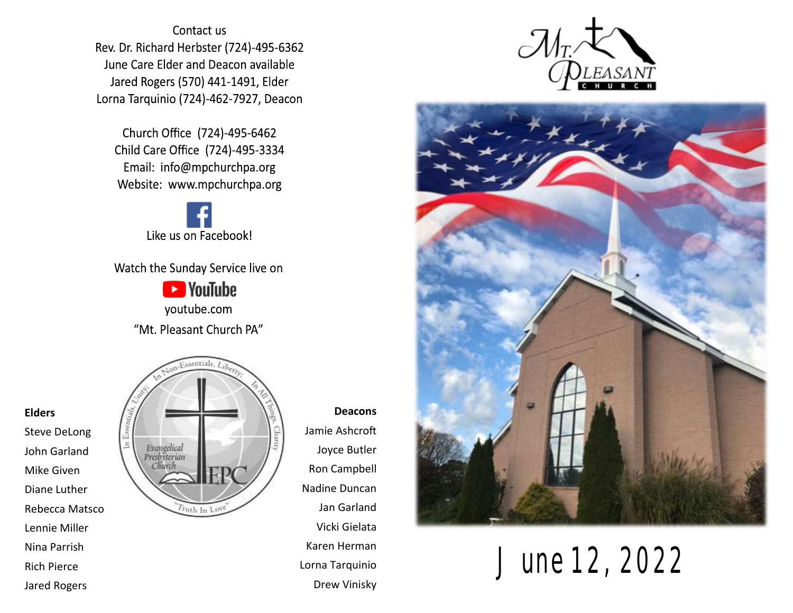Contact us Rev. Dr. Richard Herbster (724)-495-6362 June Care Elder and Deacon available Jared Rogers (570) 441-1491, Elder Lorna Tarquinio (724)-462-7927, Deacon

Church Office (724)-495-6462 Child Care Office (724)-495-3334 Email: info@mpchurchpa.org Website: www.mpchurchpa.org

Like us on Facebook!

Watch the Sunday Service live on

**Ex** YouTube youtube.com "Mt. Pleasant Church PA"



**Deacons** Jamie Ashcroft Joyce Butler Ron Campbell Nadine Duncan Jan Garland Vicki Gielata Karen Herman Lorna Tarquinio Drew Vinisky





June 12, 2022

#### **Elders**

Steve DeLong John Garland Mike Given Diane Luther Rebecca Matsco Lennie Miller Nina Parrish Rich Pierce Jared Rogers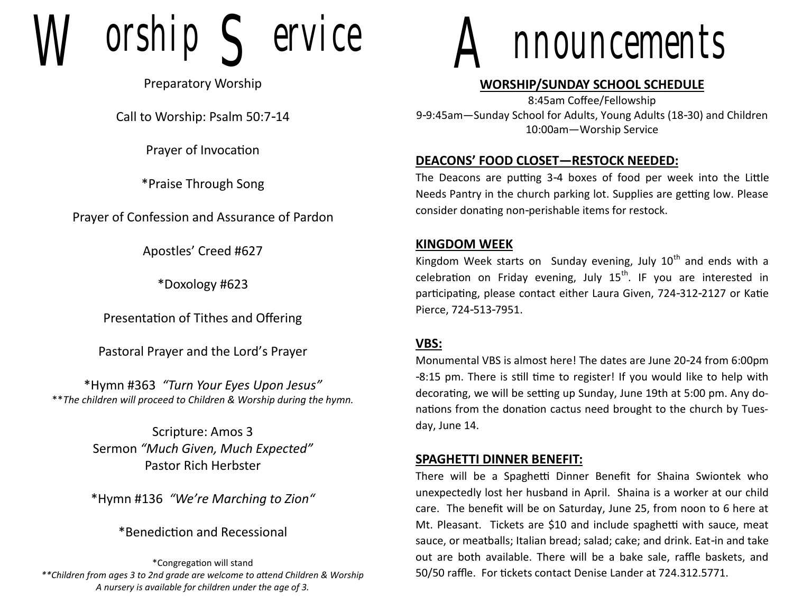$orship$   $S$  ervice

Preparatory Worship

Call to Worship: Psalm 50:7-14

Prayer of Invocation

\*Praise Through Song

Prayer of Confession and Assurance of Pardon

Apostles' Creed #627

\*Doxology #623

Presentation of Tithes and Offering

Pastoral Prayer and the Lord's Prayer

\*Hymn #363 *"Turn Your Eyes Upon Jesus"* \*\**The children will proceed to Children & Worship during the hymn.*

> Scripture: Amos 3 Sermon *"Much Given, Much Expected"* Pastor Rich Herbster

\*Hymn #136 *"We're Marching to Zion"*

\*Benediction and Recessional

\*Congregation will stand *\*\*Children from ages 3 to 2nd grade are welcome to attend Children & Worship A nursery is available for children under the age of 3.*



## **WORSHIP/SUNDAY SCHOOL SCHEDULE**

8:45am Coffee/Fellowship 9-9:45am—Sunday School for Adults, Young Adults (18-30) and Children 10:00am—Worship Service

## **DEACONS' FOOD CLOSET—RESTOCK NEEDED:**

The Deacons are putting 3-4 boxes of food per week into the Little Needs Pantry in the church parking lot. Supplies are getting low. Please consider donating non-perishable items for restock.

## **KINGDOM WEEK**

Kingdom Week starts on Sunday evening, July  $10<sup>th</sup>$  and ends with a celebration on Friday evening, July  $15<sup>th</sup>$ . IF you are interested in participating, please contact either Laura Given, 724-312-2127 or Katie Pierce, 724-513-7951.

## **VBS:**

Monumental VBS is almost here! The dates are June 20-24 from 6:00pm -8:15 pm. There is still time to register! If you would like to help with decorating, we will be setting up Sunday, June 19th at 5:00 pm. Any donations from the donation cactus need brought to the church by Tuesday, June 14.

### **SPAGHETTI DINNER BENEFIT:**

There will be a Spaghetti Dinner Benefit for Shaina Swiontek who unexpectedly lost her husband in April. Shaina is a worker at our child care. The benefit will be on Saturday, June 25, from noon to 6 here at Mt. Pleasant. Tickets are \$10 and include spaghetti with sauce, meat sauce, or meatballs; Italian bread; salad; cake; and drink. Eat-in and take out are both available. There will be a bake sale, raffle baskets, and 50/50 raffle. For tickets contact Denise Lander at 724.312.5771.